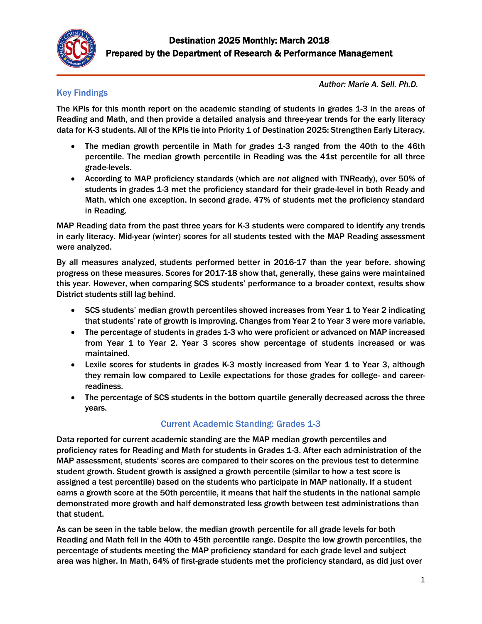

### Key Findings

*Author: Marie A. Sell, Ph.D.*

The KPIs for this month report on the academic standing of students in grades 1-3 in the areas of Reading and Math, and then provide a detailed analysis and three-year trends for the early literacy data for K-3 students. All of the KPIs tie into Priority 1 of Destination 2025: Strengthen Early Literacy.

- The median growth percentile in Math for grades 1-3 ranged from the 40th to the 46th percentile. The median growth percentile in Reading was the 41st percentile for all three grade-levels.
- According to MAP proficiency standards (which are *not* aligned with TNReady), over 50% of students in grades 1-3 met the proficiency standard for their grade-level in both Ready and Math, which one exception. In second grade, 47% of students met the proficiency standard in Reading.

MAP Reading data from the past three years for K-3 students were compared to identify any trends in early literacy. Mid-year (winter) scores for all students tested with the MAP Reading assessment were analyzed.

By all measures analyzed, students performed better in 2016-17 than the year before, showing progress on these measures. Scores for 2017-18 show that, generally, these gains were maintained this year. However, when comparing SCS students' performance to a broader context, results show District students still lag behind.

- SCS students' median growth percentiles showed increases from Year 1 to Year 2 indicating that students' rate of growth is improving. Changes from Year 2 to Year 3 were more variable.
- The percentage of students in grades 1-3 who were proficient or advanced on MAP increased from Year 1 to Year 2. Year 3 scores show percentage of students increased or was maintained.
- Lexile scores for students in grades K-3 mostly increased from Year 1 to Year 3, although they remain low compared to Lexile expectations for those grades for college- and careerreadiness.
- The percentage of SCS students in the bottom quartile generally decreased across the three years.

### Current Academic Standing: Grades 1-3

Data reported for current academic standing are the MAP median growth percentiles and proficiency rates for Reading and Math for students in Grades 1-3. After each administration of the MAP assessment, students' scores are compared to their scores on the previous test to determine student growth. Student growth is assigned a growth percentile (similar to how a test score is assigned a test percentile) based on the students who participate in MAP nationally. If a student earns a growth score at the 50th percentile, it means that half the students in the national sample demonstrated more growth and half demonstrated less growth between test administrations than that student.

As can be seen in the table below, the median growth percentile for all grade levels for both Reading and Math fell in the 40th to 45th percentile range. Despite the low growth percentiles, the percentage of students meeting the MAP proficiency standard for each grade level and subject area was higher. In Math, 64% of first-grade students met the proficiency standard, as did just over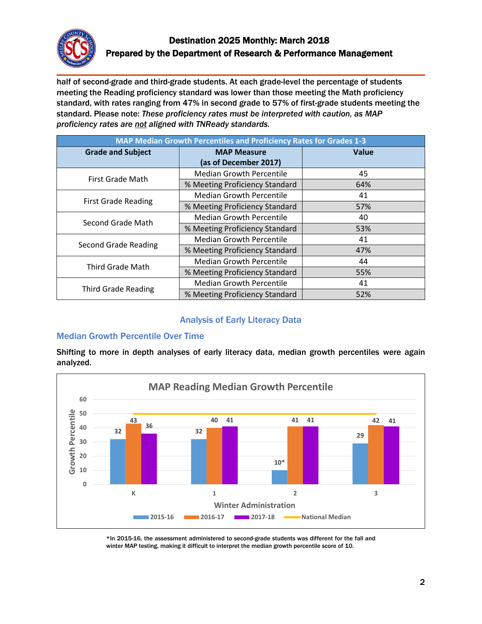

half of second-grade and third-grade students. At each grade-level the percentage of students meeting the Reading proficiency standard was lower than those meeting the Math proficiency standard, with rates ranging from 47% in second grade to 57% of first-grade students meeting the standard. Please note: *These proficiency rates must be interpreted with caution, as MAP proficiency rates are not aligned with TNReady standards.*

| MAP Median Growth Percentiles and Proficiency Rates for Grades 1-3 |                                 |              |
|--------------------------------------------------------------------|---------------------------------|--------------|
| <b>Grade and Subject</b>                                           | <b>MAP Measure</b>              | <b>Value</b> |
|                                                                    | (as of December 2017)           |              |
| First Grade Math                                                   | <b>Median Growth Percentile</b> | 45           |
|                                                                    | % Meeting Proficiency Standard  | 64%          |
| <b>First Grade Reading</b>                                         | <b>Median Growth Percentile</b> | 41           |
|                                                                    | % Meeting Proficiency Standard  | 57%          |
| Second Grade Math                                                  | <b>Median Growth Percentile</b> | 40           |
|                                                                    | % Meeting Proficiency Standard  | 53%          |
| Second Grade Reading                                               | <b>Median Growth Percentile</b> | 41           |
|                                                                    | % Meeting Proficiency Standard  | 47%          |
| Third Grade Math                                                   | <b>Median Growth Percentile</b> | 44           |
|                                                                    | % Meeting Proficiency Standard  | 55%          |
| <b>Third Grade Reading</b>                                         | <b>Median Growth Percentile</b> | 41           |
|                                                                    | % Meeting Proficiency Standard  | 52%          |

### Analysis of Early Literacy Data

### Median Growth Percentile Over Time

Shifting to more in depth analyses of early literacy data, median growth percentiles were again analyzed.



<sup>\*</sup>In 2015-16, the assessment administered to second-grade students was different for the fall and winter MAP testing, making it difficult to interpret the median growth percentile score of 10.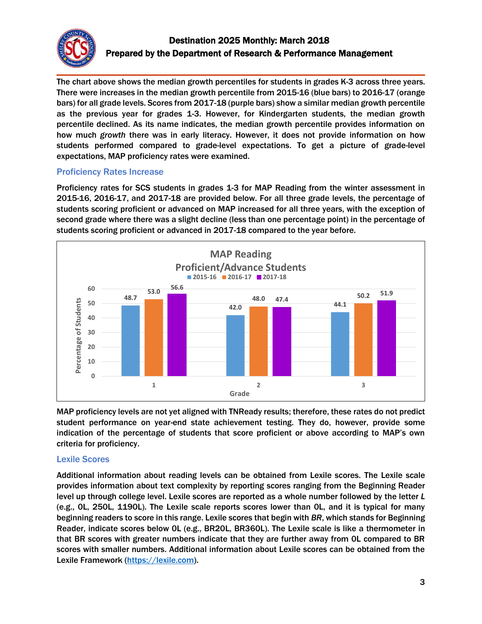

The chart above shows the median growth percentiles for students in grades K-3 across three years. There were increases in the median growth percentile from 2015-16 (blue bars) to 2016-17 (orange bars) for all grade levels. Scores from 2017-18 (purple bars) show a similar median growth percentile as the previous year for grades 1-3. However, for Kindergarten students, the median growth percentile declined. As its name indicates, the median growth percentile provides information on how much *growth* there was in early literacy. However, it does not provide information on how students performed compared to grade-level expectations. To get a picture of grade-level expectations, MAP proficiency rates were examined.

### Proficiency Rates Increase

Proficiency rates for SCS students in grades 1-3 for MAP Reading from the winter assessment in 2015-16, 2016-17, and 2017-18 are provided below. For all three grade levels, the percentage of students scoring proficient or advanced on MAP increased for all three years, with the exception of second grade where there was a slight decline (less than one percentage point) in the percentage of students scoring proficient or advanced in 2017-18 compared to the year before.



MAP proficiency levels are not yet aligned with TNReady results; therefore, these rates do not predict student performance on year-end state achievement testing. They do, however, provide some indication of the percentage of students that score proficient or above according to MAP's own criteria for proficiency.

### Lexile Scores

Additional information about reading levels can be obtained from Lexile scores. The Lexile scale provides information about text complexity by reporting scores ranging from the Beginning Reader level up through college level. Lexile scores are reported as a whole number followed by the letter *L* (e.g., 0L, 250L, 1190L). The Lexile scale reports scores lower than 0L, and it is typical for many beginning readers to score in this range. Lexile scores that begin with *BR*, which stands for Beginning Reader, indicate scores below 0L (e.g., BR20L, BR360L). The Lexile scale is like a thermometer in that BR scores with greater numbers indicate that they are further away from 0L compared to BR scores with smaller numbers. Additional information about Lexile scores can be obtained from the Lexile Framework [\(https://lexile.com\)](https://lexile.com/).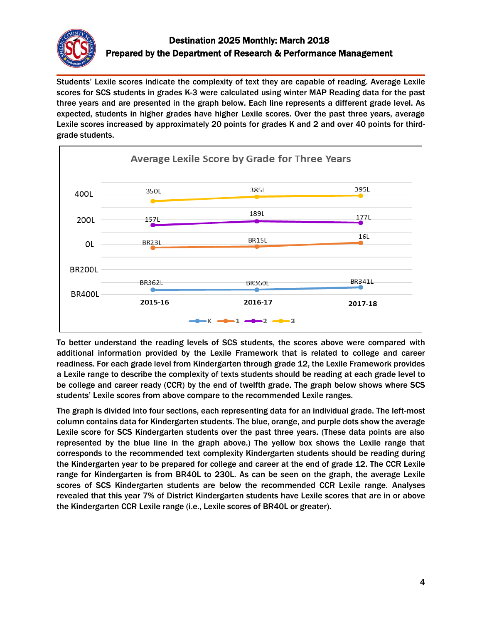

Students' Lexile scores indicate the complexity of text they are capable of reading. Average Lexile scores for SCS students in grades K-3 were calculated using winter MAP Reading data for the past three years and are presented in the graph below. Each line represents a different grade level. As expected, students in higher grades have higher Lexile scores. Over the past three years, average Lexile scores increased by approximately 20 points for grades K and 2 and over 40 points for thirdgrade students.



To better understand the reading levels of SCS students, the scores above were compared with additional information provided by the Lexile Framework that is related to college and career readiness. For each grade level from Kindergarten through grade 12, the Lexile Framework provides a Lexile range to describe the complexity of texts students should be reading at each grade level to be college and career ready (CCR) by the end of twelfth grade. The graph below shows where SCS students' Lexile scores from above compare to the recommended Lexile ranges.

The graph is divided into four sections, each representing data for an individual grade. The left-most column contains data for Kindergarten students. The blue, orange, and purple dots show the average Lexile score for SCS Kindergarten students over the past three years. (These data points are also represented by the blue line in the graph above.) The yellow box shows the Lexile range that corresponds to the recommended text complexity Kindergarten students should be reading during the Kindergarten year to be prepared for college and career at the end of grade 12. The CCR Lexile range for Kindergarten is from BR40L to 230L. As can be seen on the graph, the average Lexile scores of SCS Kindergarten students are below the recommended CCR Lexile range. Analyses revealed that this year 7% of District Kindergarten students have Lexile scores that are in or above the Kindergarten CCR Lexile range (i.e., Lexile scores of BR40L or greater).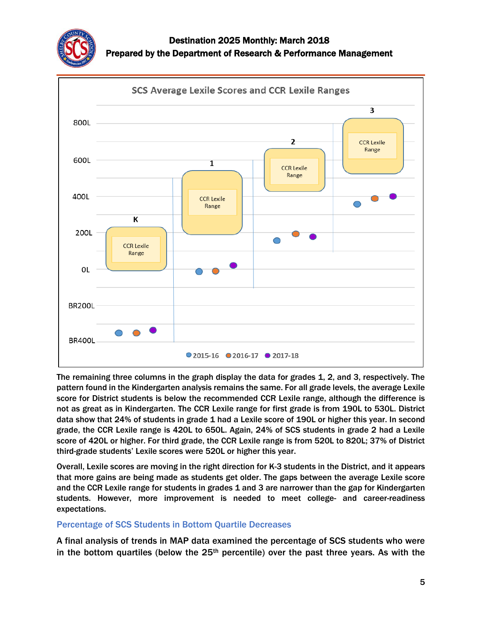



The remaining three columns in the graph display the data for grades 1, 2, and 3, respectively. The pattern found in the Kindergarten analysis remains the same. For all grade levels, the average Lexile score for District students is below the recommended CCR Lexile range, although the difference is not as great as in Kindergarten. The CCR Lexile range for first grade is from 190L to 530L. District data show that 24% of students in grade 1 had a Lexile score of 190L or higher this year. In second grade, the CCR Lexile range is 420L to 650L. Again, 24% of SCS students in grade 2 had a Lexile score of 420L or higher. For third grade, the CCR Lexile range is from 520L to 820L; 37% of District third-grade students' Lexile scores were 520L or higher this year.

Overall, Lexile scores are moving in the right direction for K-3 students in the District, and it appears that more gains are being made as students get older. The gaps between the average Lexile score and the CCR Lexile range for students in grades 1 and 3 are narrower than the gap for Kindergarten students. However, more improvement is needed to meet college- and career-readiness expectations.

### Percentage of SCS Students in Bottom Quartile Decreases

A final analysis of trends in MAP data examined the percentage of SCS students who were in the bottom quartiles (below the  $25<sup>th</sup>$  percentile) over the past three years. As with the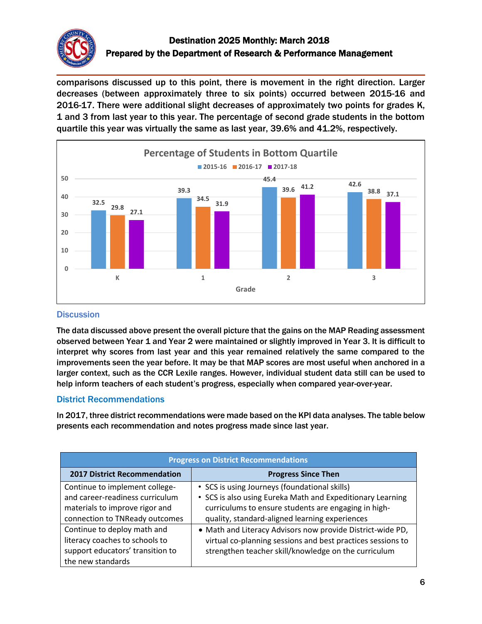

comparisons discussed up to this point, there is movement in the right direction. Larger decreases (between approximately three to six points) occurred between 2015-16 and 2016-17. There were additional slight decreases of approximately two points for grades K, 1 and 3 from last year to this year. The percentage of second grade students in the bottom quartile this year was virtually the same as last year, 39.6% and 41.2%, respectively.



### **Discussion**

The data discussed above present the overall picture that the gains on the MAP Reading assessment observed between Year 1 and Year 2 were maintained or slightly improved in Year 3. It is difficult to interpret why scores from last year and this year remained relatively the same compared to the improvements seen the year before. It may be that MAP scores are most useful when anchored in a larger context, such as the CCR Lexile ranges. However, individual student data still can be used to help inform teachers of each student's progress, especially when compared year-over-year.

### District Recommendations

In 2017, three district recommendations were made based on the KPI data analyses. The table below presents each recommendation and notes progress made since last year.

| <b>Progress on District Recommendations</b> |                                                             |  |
|---------------------------------------------|-------------------------------------------------------------|--|
| <b>2017 District Recommendation</b>         | <b>Progress Since Then</b>                                  |  |
| Continue to implement college-              | • SCS is using Journeys (foundational skills)               |  |
| and career-readiness curriculum             | • SCS is also using Eureka Math and Expeditionary Learning  |  |
| materials to improve rigor and              | curriculums to ensure students are engaging in high-        |  |
| connection to TNReady outcomes              | quality, standard-aligned learning experiences              |  |
| Continue to deploy math and                 | . Math and Literacy Advisors now provide District-wide PD,  |  |
| literacy coaches to schools to              | virtual co-planning sessions and best practices sessions to |  |
| support educators' transition to            | strengthen teacher skill/knowledge on the curriculum        |  |
| the new standards                           |                                                             |  |